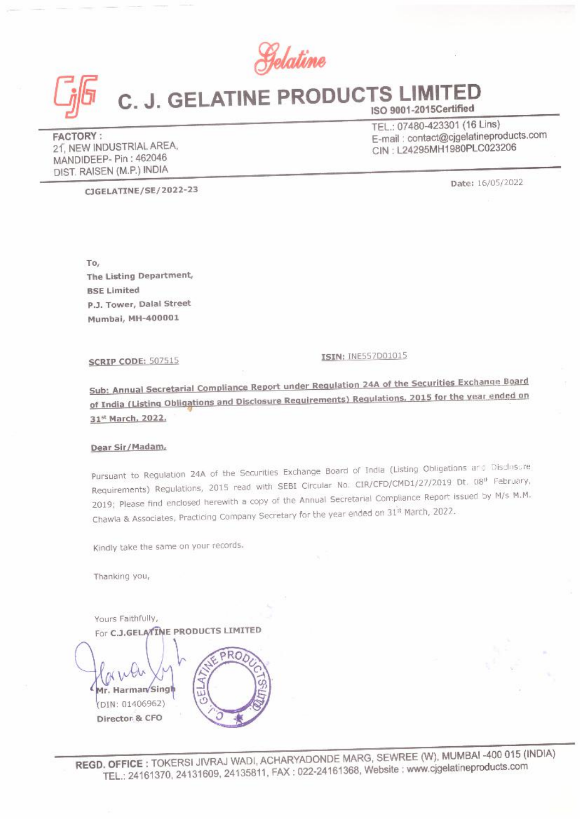Gelaline



# C. J. GELATINE PRODUCTS LIMITED  $\frac{G}{\sqrt{2}}\int_{0}^{\frac{\pi}{2}}$  C. J. GELATINE PF ISO 9001-2015Certified

**FACTORY:**<br>
PEATINE PR<br>
PACTORY:<br>
21, NEW INDUSTRIAL AREA,<br>
MANDIDEEP- PIN: 462046<br>
DIST. RAISEN (M.P.) INDIA FACTORY :<br>
21, NEW INDUSTRIAL AREA,<br>
MANDIDEEP- Pin : 462046<br>
MANDIDEEP- Pin : 462046 DIST. RAISEN (M.P.) INDIA

FACTORY :<br>FACTORY : TEL.: 07480-423301 (16 Lins)<br>Fermail : contact@cjgelatinepro 2f, NEW INDUSTRIAL AREA, E-mail : contact@cjgelatineproducts.com

CIGELATINE/SE/2022-23 Date: 16/05/2022

To,<br>The Listing Department,<br>BSE Limited<br>P.J. Tower, Dalal Street Mumbai, MH-400001

**SCRIP CODE: 507515** 

**ISIN: INE557D01015** 

Sub: Annual Secretarial Compliance Report under Regulation 24A of the Securities Exchange Board<br>ef India (Listing Obligations and Disclosure Requirements) Regulations, 2015 for the year ended on of India (Listing Obligations and Disclosure Requirements) Regulations, 2015 for the year ended on 31% March, 2022,

### Dear Sir/Madam,

Pursuant to Regulation 24A of the Securities Exchange Board of India (Listing Obligations and Disclosure Requirements) Regulations, 2015 read with SEBI Circular No. CIR/CFD/CMD1/27/2019 Dt. 08<sup>0</sup> February, 2019; Please find enclosed herewith a copy of the Annual Secretarial Compliance Report issued by M/s M.M. Chawla & Associates, Practicing Company Secretary for the year ended on 31% March, 2022.

Kindly take the same on your records.

Thanking you,

Yours Faithfully, DIN: Narman/Sing<br>DIN: 01406962)<br>Director & CFO To,<br>
The Listing Department,<br>
BSE Limited<br>
P.J. Tower, Dalal Street<br>
Mumbai, MH-400001<br>
SCRIP CODE: 507515<br>
Sub: Annual Secretarial Compliance Report under I<br>
of India (Listing Obligations and Disclosure Require<br>
31<sup>nt</sup> M Director & CFO

NDE MAR<br>24161368, REGD. OFFIGE : TOKERSI JIVRAJ WADI, ACHARYADONDE MARG, SEWREE (W), MUMBAI -400 015 (INDIA) TEL. 24161370, 24131609, 24135811, FAX : 022-24161368, Website : www.cigelatineproducts.com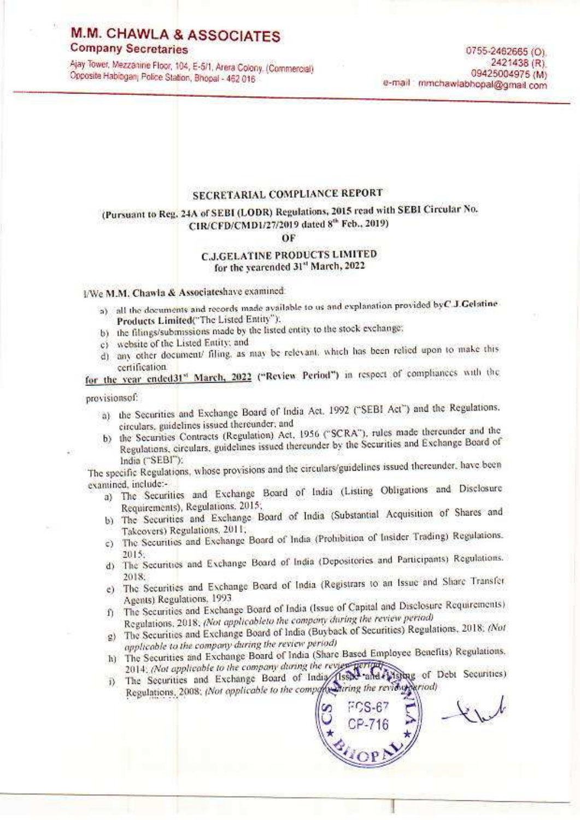# **M.M. CHAWLA & ASSOCIATES**

# **Company Secretaries**

Ajay Tower, Mezzanine Floor, 104, E-5/1, Arera Colony. (Commercial) Opposite Habibganj Police Station, Bhopal - 462 016

### SECRETARIAL COMPLIANCE REPORT

# (Pursuant to Reg. 24A of SEBI (LODR) Regulations, 2015 read with SEBI Circular No. CIR/CFD/CMD1/27/2019 dated 8th Feb., 2019)

### ÖF

### **C.J.GELATINE PRODUCTS LIMITED** for the yearended 31st March, 2022

### I/We M.M. Chawla & Associateshave examined:

- a) all the documents and records made available to us and explanation provided by C.J. Gelatine Products Limited("The Listed Entity");
- b) the filings/submissions made by the listed entity to the stock exchange;
- c) website of the Listed Entity; and
- d) any other document/ filing, as may be relevant, which has been relied upon to make this certification.

for the year ended31st March, 2022 ("Review Period") in respect of comphances with the

provisionsof:

- a) the Securities and Exchange Board of India Act, 1992 ("SEBI Act") and the Regulations. circulars, guidelines issued thereunder, and
- b) the Securities Contracts (Regulation) Act, 1956 ("SCRA"), rules made thereunder and the
- Regulations, circulars, guidelines issued thereunder by the Securities and Exchange Board of India ("SEBI"):

The specific Regulations, whose provisions and the circulars/guidelines issued thereunder, have been examined, include:-

- a) The Securities and Exchange Board of India (Listing Obligations and Disclosure Requirements), Regulations, 2015;
- b) The Securities and Exchange Board of India (Substantial Acquisition of Shares and Takcovers) Regulations, 2011,
- c) The Securities and Exchange Board of India (Prohibition of Insider Trading) Regulations. 2015.
- d) The Securities and Exchange Board of India (Depositories and Participants) Regulations. 2018.
- e) The Securities and Exchange Board of India (Registrars to an Issue and Share Transfer Agents) Regulations, 1993.
- f) The Securities and Exchange Board of India (Issue of Capital and Disclosure Requirements) Regulations, 2018; (Not applicableto the company during the review period)
- g) The Securities and Exchange Board of India (Buyback of Securities) Regulations, 2018; (Not applicable to the company during the review period)
- h) The Securities and Exchange Board of India (Share Based Employee Benefits) Regulations. 2014. (Not applicable to the company during the review perturb-
- i) The Securities and Exchange Board of India (Issae and Visitag of Debt Securities) Regulations, 2008; (Not opplicable to the composition the review pariod)

لريديا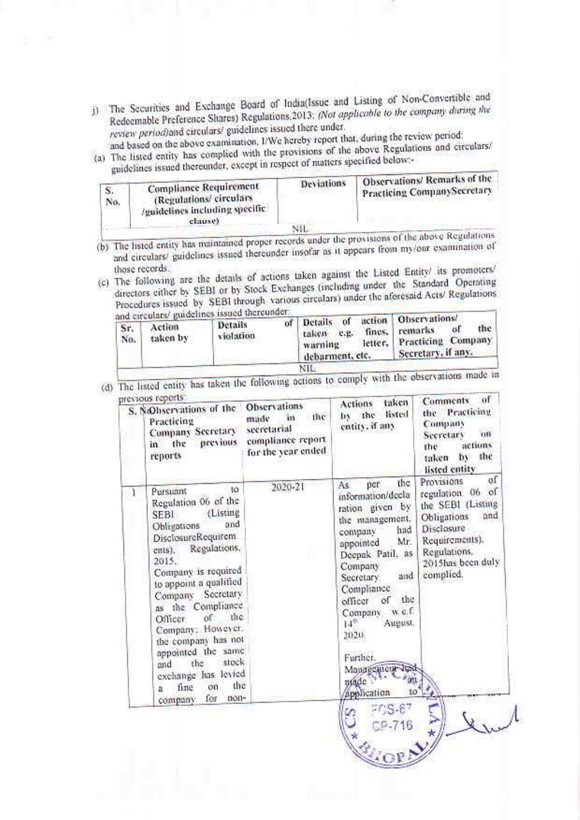j) The Securities and Exchange Board of India(Issue and Listing of Non-Convertible and Redeemable Preference Shares) Regulations, 2013; (Not applicable to the company during the review period) and circulars' guidelines issued there under.

and based on the above examination, L/We hereby report that, during the review period: (a) The listed entity has complied with the provisions of the above Regulations and circulars/

guidelines issued thereunder, except in respect of matters specified below:-

| э.<br>No.<br>an s | <b>Compliance Requirement</b><br>(Regulations/circulars)<br><i>equidelines including specific</i><br>clause) | Deviations | Observations/Remarks of the<br>Practicing CompanySecretary |
|-------------------|--------------------------------------------------------------------------------------------------------------|------------|------------------------------------------------------------|
|                   |                                                                                                              | NIL        | a target in Discount of profes-                            |

- (b) The listed entity has maintained proper records under the provisions of the above Regulations and circulars/ guidelines issued thereunder insofar as it appears from my/our examination of
- (c) The following are the details of actions taken against the Listed Entity/ its promoters/ directors either by SEBI or by Stock Exchanges (including under the Standard Operating Procedures issued by SEBI through various circulars) under the aforesaid Acts/ Regulations delines issued thereunder.

| and circulars/ guidelines issued uncommen-<br>Action<br>Sr.<br>taken by<br>No. | Details<br>violation | Details of<br>of I<br>fines,<br><b>C.L.</b><br>taken<br>warning<br>debarment, etc. | action Observations/<br>the<br>ω<br>remarks<br>letter, Practicing Company.<br>Secretary, if any, |
|--------------------------------------------------------------------------------|----------------------|------------------------------------------------------------------------------------|--------------------------------------------------------------------------------------------------|
|--------------------------------------------------------------------------------|----------------------|------------------------------------------------------------------------------------|--------------------------------------------------------------------------------------------------|

(d) The listed entity has taken the following actions to comply with the observations made in

| revious reports:<br>S. Nobservations of the<br>Practicing<br>the<br>in<br>reports    | Company Secretary<br>previous                                                                                                                                                                                                                                                                                                                | <b>Observations</b><br>the<br>in.<br>made<br>secretarial<br>compliance report<br>for the year ended | taken<br>Actions<br>listed<br>by the<br>entity, if any                                                                                                                                                                                                                                                                            | of<br>Comments<br>Practicing<br>the<br>Company<br>m<br><b>Secretary</b><br>actions<br>the<br>the<br>by<br>taken<br>listed entity                                  |
|--------------------------------------------------------------------------------------|----------------------------------------------------------------------------------------------------------------------------------------------------------------------------------------------------------------------------------------------------------------------------------------------------------------------------------------------|-----------------------------------------------------------------------------------------------------|-----------------------------------------------------------------------------------------------------------------------------------------------------------------------------------------------------------------------------------------------------------------------------------------------------------------------------------|-------------------------------------------------------------------------------------------------------------------------------------------------------------------|
| Pursuant<br>SEBI.<br>Obligations<br>ents).<br>2015.<br>Officer.<br>and<br>fine<br>ä. | to<br>Regulation 06 of the<br>(Listing<br>and<br>DisclosureRequirem<br>Regulations,<br>Company is required<br>to appoint a qualified<br>Company Secretary<br>as the Compliance<br>the<br>of.<br>Company: However.<br>the company has not<br>appointed the same<br>stock<br>the<br>exchange has levied<br>the<br>on<br>non-<br>for<br>company | 2020-21                                                                                             | the<br>per<br>As:<br>information/decla<br>ration given by<br>the management,<br>had<br>company<br>Mr.<br>appointed<br>Deepak Patil, as<br>Company<br>and<br>Secretary:<br>Compliance<br>the<br>öſ<br>officer<br>w.e.f.<br>Company<br>14 <sub>qp</sub><br>August.<br>2020.<br>Further.<br>Management<br>utade<br>application<br>to | of<br>Provisions<br>regulation 06 of<br>the SEBI (Listing<br>and<br>Obligations<br>Disclosure<br>Requirements).<br>Regulations,<br>2015has been duly<br>complied. |